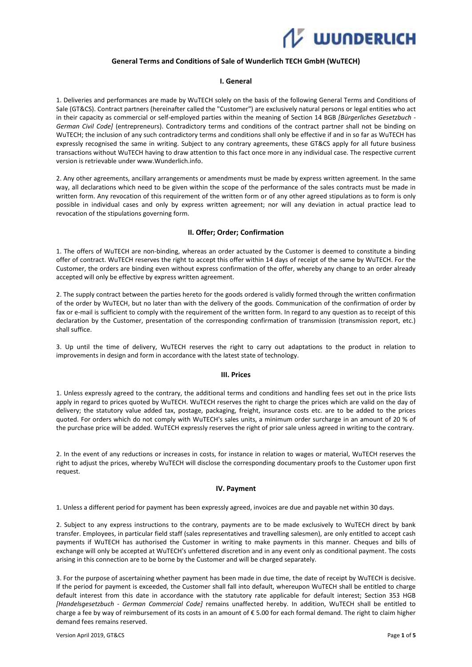

## **General Terms and Conditions of Sale of Wunderlich TECH GmbH (WuTECH)**

### **I. General**

1. Deliveries and performances are made by WuTECH solely on the basis of the following General Terms and Conditions of Sale (GT&CS). Contract partners (hereinafter called the "Customer") are exclusively natural persons or legal entities who act in their capacity as commercial or self-employed parties within the meaning of Section 14 BGB *[Bürgerliches Gesetzbuch - German Civil Code]* (entrepreneurs). Contradictory terms and conditions of the contract partner shall not be binding on WuTECH; the inclusion of any such contradictory terms and conditions shall only be effective if and in so far as WuTECH has expressly recognised the same in writing. Subject to any contrary agreements, these GT&CS apply for all future business transactions without WuTECH having to draw attention to this fact once more in any individual case. The respective current version is retrievable under www.Wunderlich.info.

2. Any other agreements, ancillary arrangements or amendments must be made by express written agreement. In the same way, all declarations which need to be given within the scope of the performance of the sales contracts must be made in written form. Any revocation of this requirement of the written form or of any other agreed stipulations as to form is only possible in individual cases and only by express written agreement; nor will any deviation in actual practice lead to revocation of the stipulations governing form.

### **II. Offer; Order; Confirmation**

1. The offers of WuTECH are non-binding, whereas an order actuated by the Customer is deemed to constitute a binding offer of contract. WuTECH reserves the right to accept this offer within 14 days of receipt of the same by WuTECH. For the Customer, the orders are binding even without express confirmation of the offer, whereby any change to an order already accepted will only be effective by express written agreement.

2. The supply contract between the parties hereto for the goods ordered is validly formed through the written confirmation of the order by WuTECH, but no later than with the delivery of the goods. Communication of the confirmation of order by fax or e-mail is sufficient to comply with the requirement of the written form. In regard to any question as to receipt of this declaration by the Customer, presentation of the corresponding confirmation of transmission (transmission report, etc.) shall suffice.

3. Up until the time of delivery, WuTECH reserves the right to carry out adaptations to the product in relation to improvements in design and form in accordance with the latest state of technology.

#### **III. Prices**

1. Unless expressly agreed to the contrary, the additional terms and conditions and handling fees set out in the price lists apply in regard to prices quoted by WuTECH. WuTECH reserves the right to charge the prices which are valid on the day of delivery; the statutory value added tax, postage, packaging, freight, insurance costs etc. are to be added to the prices quoted. For orders which do not comply with WuTECH's sales units, a minimum order surcharge in an amount of 20 % of the purchase price will be added. WuTECH expressly reserves the right of prior sale unless agreed in writing to the contrary.

2. In the event of any reductions or increases in costs, for instance in relation to wages or material, WuTECH reserves the right to adjust the prices, whereby WuTECH will disclose the corresponding documentary proofs to the Customer upon first request.

### **IV. Payment**

1. Unless a different period for payment has been expressly agreed, invoices are due and payable net within 30 days.

2. Subject to any express instructions to the contrary, payments are to be made exclusively to WuTECH direct by bank transfer. Employees, in particular field staff (sales representatives and travelling salesmen), are only entitled to accept cash payments if WuTECH has authorised the Customer in writing to make payments in this manner. Cheques and bills of exchange will only be accepted at WuTECH's unfettered discretion and in any event only as conditional payment. The costs arising in this connection are to be borne by the Customer and will be charged separately.

3. For the purpose of ascertaining whether payment has been made in due time, the date of receipt by WuTECH is decisive. If the period for payment is exceeded, the Customer shall fall into default, whereupon WuTECH shall be entitled to charge default interest from this date in accordance with the statutory rate applicable for default interest; Section 353 HGB *[Handelsgesetzbuch - German Commercial Code]* remains unaffected hereby. In addition, WuTECH shall be entitled to charge a fee by way of reimbursement of its costs in an amount of € 5.00 for each formal demand. The right to claim higher demand fees remains reserved.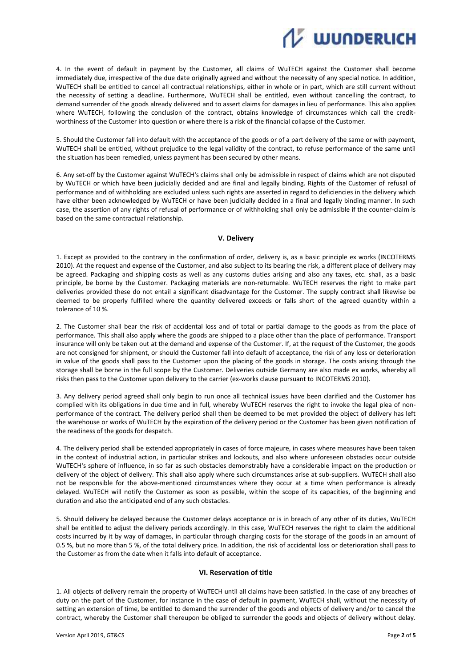

4. In the event of default in payment by the Customer, all claims of WuTECH against the Customer shall become immediately due, irrespective of the due date originally agreed and without the necessity of any special notice. In addition, WuTECH shall be entitled to cancel all contractual relationships, either in whole or in part, which are still current without the necessity of setting a deadline. Furthermore, WuTECH shall be entitled, even without cancelling the contract, to demand surrender of the goods already delivered and to assert claims for damages in lieu of performance. This also applies where WuTECH, following the conclusion of the contract, obtains knowledge of circumstances which call the creditworthiness of the Customer into question or where there is a risk of the financial collapse of the Customer.

5. Should the Customer fall into default with the acceptance of the goods or of a part delivery of the same or with payment, WuTECH shall be entitled, without prejudice to the legal validity of the contract, to refuse performance of the same until the situation has been remedied, unless payment has been secured by other means.

6. Any set-off by the Customer against WuTECH's claims shall only be admissible in respect of claims which are not disputed by WuTECH or which have been judicially decided and are final and legally binding. Rights of the Customer of refusal of performance and of withholding are excluded unless such rights are asserted in regard to deficiencies in the delivery which have either been acknowledged by WuTECH or have been judicially decided in a final and legally binding manner. In such case, the assertion of any rights of refusal of performance or of withholding shall only be admissible if the counter-claim is based on the same contractual relationship.

## **V. Delivery**

1. Except as provided to the contrary in the confirmation of order, delivery is, as a basic principle ex works (INCOTERMS 2010). At the request and expense of the Customer, and also subject to its bearing the risk, a different place of delivery may be agreed. Packaging and shipping costs as well as any customs duties arising and also any taxes, etc. shall, as a basic principle, be borne by the Customer. Packaging materials are non-returnable. WuTECH reserves the right to make part deliveries provided these do not entail a significant disadvantage for the Customer. The supply contract shall likewise be deemed to be properly fulfilled where the quantity delivered exceeds or falls short of the agreed quantity within a tolerance of 10 %.

2. The Customer shall bear the risk of accidental loss and of total or partial damage to the goods as from the place of performance. This shall also apply where the goods are shipped to a place other than the place of performance. Transport insurance will only be taken out at the demand and expense of the Customer. If, at the request of the Customer, the goods are not consigned for shipment, or should the Customer fall into default of acceptance, the risk of any loss or deterioration in value of the goods shall pass to the Customer upon the placing of the goods in storage. The costs arising through the storage shall be borne in the full scope by the Customer. Deliveries outside Germany are also made ex works, whereby all risks then pass to the Customer upon delivery to the carrier (ex-works clause pursuant to INCOTERMS 2010).

3. Any delivery period agreed shall only begin to run once all technical issues have been clarified and the Customer has complied with its obligations in due time and in full, whereby WuTECH reserves the right to invoke the legal plea of nonperformance of the contract. The delivery period shall then be deemed to be met provided the object of delivery has left the warehouse or works of WuTECH by the expiration of the delivery period or the Customer has been given notification of the readiness of the goods for despatch.

4. The delivery period shall be extended appropriately in cases of force majeure, in cases where measures have been taken in the context of industrial action, in particular strikes and lockouts, and also where unforeseen obstacles occur outside WuTECH's sphere of influence, in so far as such obstacles demonstrably have a considerable impact on the production or delivery of the object of delivery. This shall also apply where such circumstances arise at sub-suppliers. WuTECH shall also not be responsible for the above-mentioned circumstances where they occur at a time when performance is already delayed. WuTECH will notify the Customer as soon as possible, within the scope of its capacities, of the beginning and duration and also the anticipated end of any such obstacles.

5. Should delivery be delayed because the Customer delays acceptance or is in breach of any other of its duties, WuTECH shall be entitled to adjust the delivery periods accordingly. In this case, WuTECH reserves the right to claim the additional costs incurred by it by way of damages, in particular through charging costs for the storage of the goods in an amount of 0.5 %, but no more than 5 %, of the total delivery price. In addition, the risk of accidental loss or deterioration shall pass to the Customer as from the date when it falls into default of acceptance.

### **VI. Reservation of title**

1. All objects of delivery remain the property of WuTECH until all claims have been satisfied. In the case of any breaches of duty on the part of the Customer, for instance in the case of default in payment, WuTECH shall, without the necessity of setting an extension of time, be entitled to demand the surrender of the goods and objects of delivery and/or to cancel the contract, whereby the Customer shall thereupon be obliged to surrender the goods and objects of delivery without delay.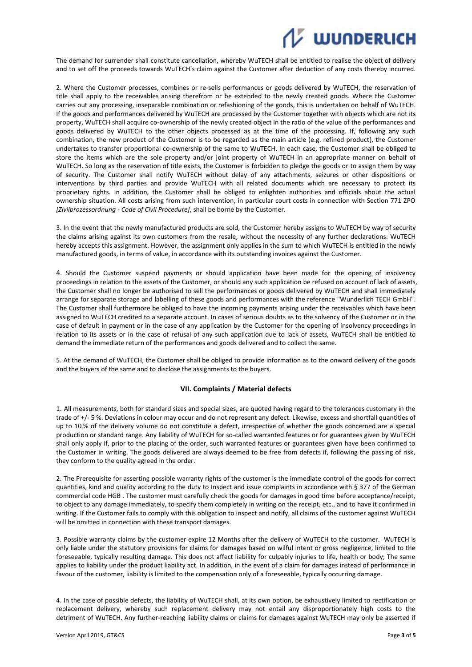# **UUNDERLICH**

The demand for surrender shall constitute cancellation, whereby WuTECH shall be entitled to realise the object of delivery and to set off the proceeds towards WuTECH's claim against the Customer after deduction of any costs thereby incurred.

2. Where the Customer processes, combines or re-sells performances or goods delivered by WuTECH, the reservation of title shall apply to the receivables arising therefrom or be extended to the newly created goods. Where the Customer carries out any processing, inseparable combination or refashioning of the goods, this is undertaken on behalf of WuTECH. If the goods and performances delivered by WuTECH are processed by the Customer together with objects which are not its property, WuTECH shall acquire co-ownership of the newly created object in the ratio of the value of the performances and goods delivered by WuTECH to the other objects processed as at the time of the processing. If, following any such combination, the new product of the Customer is to be regarded as the main article (e.g. refined product), the Customer undertakes to transfer proportional co-ownership of the same to WuTECH. In each case, the Customer shall be obliged to store the items which are the sole property and/or joint property of WuTECH in an appropriate manner on behalf of WuTECH. So long as the reservation of title exists, the Customer is forbidden to pledge the goods or to assign them by way of security. The Customer shall notify WuTECH without delay of any attachments, seizures or other dispositions or interventions by third parties and provide WuTECH with all related documents which are necessary to protect its proprietary rights. In addition, the Customer shall be obliged to enlighten authorities and officials about the actual ownership situation. All costs arising from such intervention, in particular court costs in connection with Section 771 ZPO *[Zivilprozessordnung - Code of Civil Procedure]*, shall be borne by the Customer.

3. In the event that the newly manufactured products are sold, the Customer hereby assigns to WuTECH by way of security the claims arising against its own customers from the resale, without the necessity of any further declarations. WuTECH hereby accepts this assignment. However, the assignment only applies in the sum to which WuTECH is entitled in the newly manufactured goods, in terms of value, in accordance with its outstanding invoices against the Customer.

4. Should the Customer suspend payments or should application have been made for the opening of insolvency proceedings in relation to the assets of the Customer, or should any such application be refused on account of lack of assets, the Customer shall no longer be authorised to sell the performances or goods delivered by WuTECH and shall immediately arrange for separate storage and labelling of these goods and performances with the reference "Wunderlich TECH GmbH". The Customer shall furthermore be obliged to have the incoming payments arising under the receivables which have been assigned to WuTECH credited to a separate account. In cases of serious doubts as to the solvency of the Customer or in the case of default in payment or in the case of any application by the Customer for the opening of insolvency proceedings in relation to its assets or in the case of refusal of any such application due to lack of assets, WuTECH shall be entitled to demand the immediate return of the performances and goods delivered and to collect the same.

5. At the demand of WuTECH, the Customer shall be obliged to provide information as to the onward delivery of the goods and the buyers of the same and to disclose the assignments to the buyers.

# **VII. Complaints / Material defects**

1. All measurements, both for standard sizes and special sizes, are quoted having regard to the tolerances customary in the trade of +/- 5 %. Deviations in colour may occur and do not represent any defect. Likewise, excess and shortfall quantities of up to 10 % of the delivery volume do not constitute a defect, irrespective of whether the goods concerned are a special production or standard range. Any liability of WuTECH for so-called warranted features or for guarantees given by WuTECH shall only apply if, prior to the placing of the order, such warranted features or guarantees given have been confirmed to the Customer in writing. The goods delivered are always deemed to be free from defects if, following the passing of risk, they conform to the quality agreed in the order.

2. The Prerequisite for asserting possible warranty rights of the customer is the immediate control of the goods for correct quantities, kind and quality according to the duty to Inspect and issue complaints in accordance with § 377 of the German commercial code HGB . The customer must carefully check the goods for damages in good time before acceptance/receipt, to object to any damage immediately, to specify them completely in writing on the receipt, etc., and to have it confirmed in writing. If the Customer fails to comply with this obligation to inspect and notify, all claims of the customer against WuTECH will be omitted in connection with these transport damages.

3. Possible warranty claims by the customer expire 12 Months after the delivery of WuTECH to the customer. WuTECH is only liable under the statutory provisions for claims for damages based on wilful intent or gross negligence, limited to the foreseeable, typically resulting damage. This does not affect liability for culpably injuries to life, health or body; The same applies to liability under the product liability act. In addition, in the event of a claim for damages instead of performance in favour of the customer, liability is limited to the compensation only of a foreseeable, typically occurring damage.

4. In the case of possible defects, the liability of WuTECH shall, at its own option, be exhaustively limited to rectification or replacement delivery, whereby such replacement delivery may not entail any disproportionately high costs to the detriment of WuTECH. Any further-reaching liability claims or claims for damages against WuTECH may only be asserted if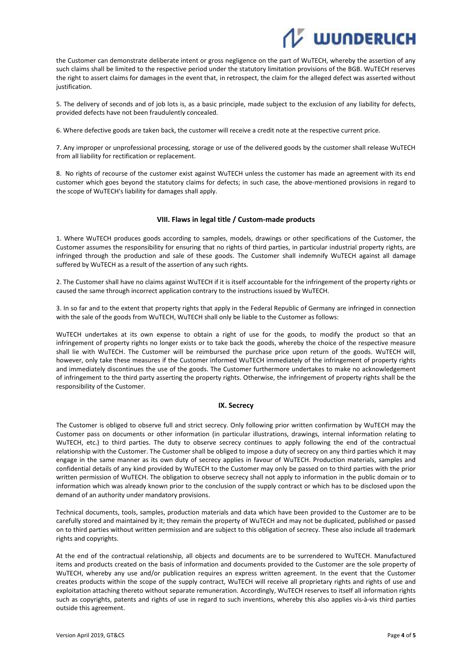# **Z WUNDERLICH**

the Customer can demonstrate deliberate intent or gross negligence on the part of WuTECH, whereby the assertion of any such claims shall be limited to the respective period under the statutory limitation provisions of the BGB. WuTECH reserves the right to assert claims for damages in the event that, in retrospect, the claim for the alleged defect was asserted without justification.

5. The delivery of seconds and of job lots is, as a basic principle, made subject to the exclusion of any liability for defects, provided defects have not been fraudulently concealed.

6. Where defective goods are taken back, the customer will receive a credit note at the respective current price.

7. Any improper or unprofessional processing, storage or use of the delivered goods by the customer shall release WuTECH from all liability for rectification or replacement.

8. No rights of recourse of the customer exist against WuTECH unless the customer has made an agreement with its end customer which goes beyond the statutory claims for defects; in such case, the above-mentioned provisions in regard to the scope of WuTECH's liability for damages shall apply.

### **VIII. Flaws in legal title / Custom-made products**

1. Where WuTECH produces goods according to samples, models, drawings or other specifications of the Customer, the Customer assumes the responsibility for ensuring that no rights of third parties, in particular industrial property rights, are infringed through the production and sale of these goods. The Customer shall indemnify WuTECH against all damage suffered by WuTECH as a result of the assertion of any such rights.

2. The Customer shall have no claims against WuTECH if it is itself accountable for the infringement of the property rights or caused the same through incorrect application contrary to the instructions issued by WuTECH.

3. In so far and to the extent that property rights that apply in the Federal Republic of Germany are infringed in connection with the sale of the goods from WuTECH, WuTECH shall only be liable to the Customer as follows:

WuTECH undertakes at its own expense to obtain a right of use for the goods, to modify the product so that an infringement of property rights no longer exists or to take back the goods, whereby the choice of the respective measure shall lie with WuTECH. The Customer will be reimbursed the purchase price upon return of the goods. WuTECH will, however, only take these measures if the Customer informed WuTECH immediately of the infringement of property rights and immediately discontinues the use of the goods. The Customer furthermore undertakes to make no acknowledgement of infringement to the third party asserting the property rights. Otherwise, the infringement of property rights shall be the responsibility of the Customer.

### **IX. Secrecy**

The Customer is obliged to observe full and strict secrecy. Only following prior written confirmation by WuTECH may the Customer pass on documents or other information (in particular illustrations, drawings, internal information relating to WuTECH, etc.) to third parties. The duty to observe secrecy continues to apply following the end of the contractual relationship with the Customer. The Customer shall be obliged to impose a duty of secrecy on any third parties which it may engage in the same manner as its own duty of secrecy applies in favour of WuTECH. Production materials, samples and confidential details of any kind provided by WuTECH to the Customer may only be passed on to third parties with the prior written permission of WuTECH. The obligation to observe secrecy shall not apply to information in the public domain or to information which was already known prior to the conclusion of the supply contract or which has to be disclosed upon the demand of an authority under mandatory provisions.

Technical documents, tools, samples, production materials and data which have been provided to the Customer are to be carefully stored and maintained by it; they remain the property of WuTECH and may not be duplicated, published or passed on to third parties without written permission and are subject to this obligation of secrecy. These also include all trademark rights and copyrights.

At the end of the contractual relationship, all objects and documents are to be surrendered to WuTECH. Manufactured items and products created on the basis of information and documents provided to the Customer are the sole property of WuTECH, whereby any use and/or publication requires an express written agreement. In the event that the Customer creates products within the scope of the supply contract, WuTECH will receive all proprietary rights and rights of use and exploitation attaching thereto without separate remuneration. Accordingly, WuTECH reserves to itself all information rights such as copyrights, patents and rights of use in regard to such inventions, whereby this also applies vis-à-vis third parties outside this agreement.